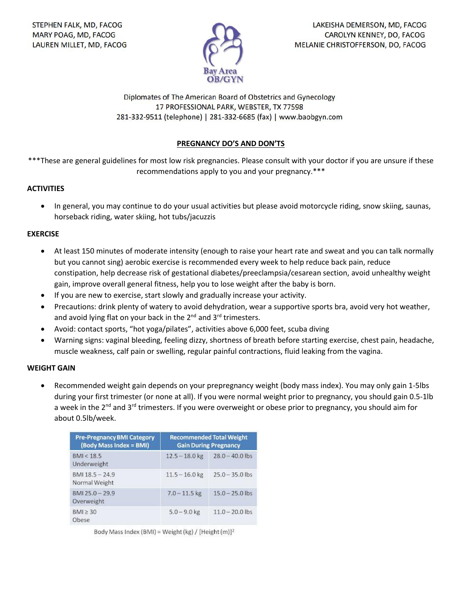

Diplomates of The American Board of Obstetrics and Gynecology 17 PROFESSIONAL PARK, WEBSTER, TX 77598 281-332-9511 (telephone) | 281-332-6685 (fax) | www.baobgyn.com

# **PREGNANCY DO'S AND DON'TS**

\*\*\*These are general guidelines for most low risk pregnancies. Please consult with your doctor if you are unsure if these recommendations apply to you and your pregnancy.\*\*\*

## **ACTIVITIES**

• In general, you may continue to do your usual activities but please avoid motorcycle riding, snow skiing, saunas, horseback riding, water skiing, hot tubs/jacuzzis

### **EXERCISE**

- At least 150 minutes of moderate intensity (enough to raise your heart rate and sweat and you can talk normally but you cannot sing) aerobic exercise is recommended every week to help reduce back pain, reduce constipation, help decrease risk of gestational diabetes/preeclampsia/cesarean section, avoid unhealthy weight gain, improve overall general fitness, help you to lose weight after the baby is born.
- If you are new to exercise, start slowly and gradually increase your activity.
- Precautions: drink plenty of watery to avoid dehydration, wear a supportive sports bra, avoid very hot weather, and avoid lying flat on your back in the  $2^{nd}$  and  $3^{rd}$  trimesters.
- Avoid: contact sports, "hot yoga/pilates", activities above 6,000 feet, scuba diving
- Warning signs: vaginal bleeding, feeling dizzy, shortness of breath before starting exercise, chest pain, headache, muscle weakness, calf pain or swelling, regular painful contractions, fluid leaking from the vagina.

#### **WEIGHT GAIN**

• Recommended weight gain depends on your prepregnancy weight (body mass index). You may only gain 1-5lbs during your first trimester (or none at all). If you were normal weight prior to pregnancy, you should gain 0.5-1lb a week in the 2<sup>nd</sup> and 3<sup>rd</sup> trimesters. If you were overweight or obese prior to pregnancy, you should aim for about 0.5lb/week.

| <b>Pre-Pregnancy BMI Category</b><br>(Body Mass Index = BMI) | <b>Recommended Total Weight</b><br><b>Gain During Pregnancy</b> |                   |
|--------------------------------------------------------------|-----------------------------------------------------------------|-------------------|
| BMI < 18.5<br><b>Underweight</b>                             | $12.5 - 18.0$ kg                                                | $28.0 - 40.0$ lbs |
| BMI 18.5 - 24.9<br>Normal Weight                             | $11.5 - 16.0$ kg                                                | $25.0 - 35.0$ lbs |
| $BM125.0 - 29.9$<br>Overweight                               | $7.0 - 11.5$ kg                                                 | $15.0 - 25.0$ lbs |
| $BM \geq 30$<br>Obese                                        | $5.0 - 9.0$ kg                                                  | $11.0 - 20.0$ lbs |

Body Mass Index (BMI) = Weight (kg) / [Height (m)]<sup>2</sup>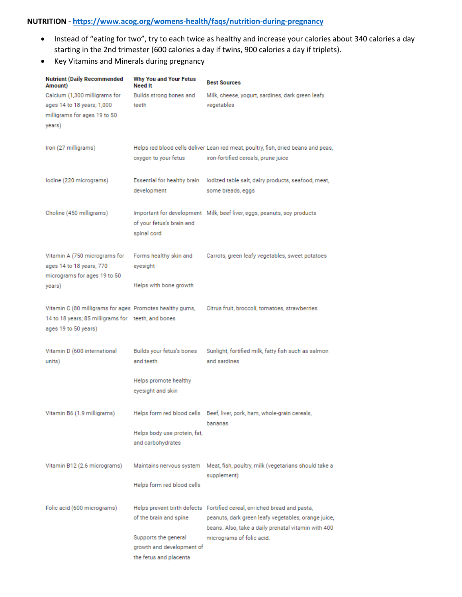# **NUTRITION - <https://www.acog.org/womens-health/faqs/nutrition-during-pregnancy>**

- Instead of "eating for two", try to each twice as healthy and increase your calories about 340 calories a day starting in the 2nd trimester (600 calories a day if twins, 900 calories a day if triplets).
- Key Vitamins and Minerals during pregnancy

| <b>Nutrient (Daily Recommended</b><br>Amount)                                                                                          | <b>Why You and Your Fetus</b><br><b>Need It</b>                             | <b>Best Sources</b>                                                                                                                                                                   |  |
|----------------------------------------------------------------------------------------------------------------------------------------|-----------------------------------------------------------------------------|---------------------------------------------------------------------------------------------------------------------------------------------------------------------------------------|--|
| Calcium (1,300 milligrams for<br>ages 14 to 18 years; 1,000<br>milligrams for ages 19 to 50<br>years)                                  | Builds strong bones and<br>teeth                                            | Milk, cheese, yogurt, sardines, dark green leafy<br>vegetables                                                                                                                        |  |
| Iron (27 milligrams)                                                                                                                   | oxygen to your fetus                                                        | Helps red blood cells deliver Lean red meat, poultry, fish, dried beans and peas,<br>iron-fortified cereals, prune juice                                                              |  |
| lodine (220 micrograms)                                                                                                                | Essential for healthy brain<br>development                                  | lodized table salt, dairy products, seafood, meat,<br>some breads, eggs                                                                                                               |  |
| Choline (450 milligrams)                                                                                                               | of your fetus's brain and<br>spinal cord                                    | Important for development Milk, beef liver, eggs, peanuts, soy products                                                                                                               |  |
| Vitamin A (750 micrograms for<br>ages 14 to 18 years; 770<br>micrograms for ages 19 to 50                                              | Forms healthy skin and<br>eyesight                                          | Carrots, green leafy vegetables, sweet potatoes                                                                                                                                       |  |
| years)                                                                                                                                 | Helps with bone growth                                                      |                                                                                                                                                                                       |  |
| Vitamin C (80 milligrams for ages Promotes healthy gums,<br>14 to 18 years; 85 milligrams for teeth, and bones<br>ages 19 to 50 years) |                                                                             | Citrus fruit, broccoli, tomatoes, strawberries                                                                                                                                        |  |
| Vitamin D (600 international<br>units)                                                                                                 | Builds your fetus's bones<br>and teeth                                      | Sunlight, fortified milk, fatty fish such as salmon<br>and sardines                                                                                                                   |  |
|                                                                                                                                        | Helps promote healthy<br>eyesight and skin                                  |                                                                                                                                                                                       |  |
| Vitamin B6 (1.9 milligrams)                                                                                                            |                                                                             | Helps form red blood cells Beef, liver, pork, ham, whole-grain cereals,                                                                                                               |  |
|                                                                                                                                        | Helps body use protein, fat,<br>and carbohydrates                           | bananas                                                                                                                                                                               |  |
| Vitamin B12 (2.6 micrograms)                                                                                                           | Maintains nervous system                                                    | Meat, fish, poultry, milk (vegetarians should take a<br>supplement)                                                                                                                   |  |
|                                                                                                                                        | Helps form red blood cells                                                  |                                                                                                                                                                                       |  |
| Folic acid (600 micrograms)                                                                                                            | of the brain and spine                                                      | Helps prevent birth defects Fortified cereal, enriched bread and pasta,<br>peanuts, dark green leafy vegetables, orange juice,<br>beans. Also, take a daily prenatal vitamin with 400 |  |
|                                                                                                                                        | Supports the general<br>growth and development of<br>the fetus and placenta | micrograms of folic acid.                                                                                                                                                             |  |